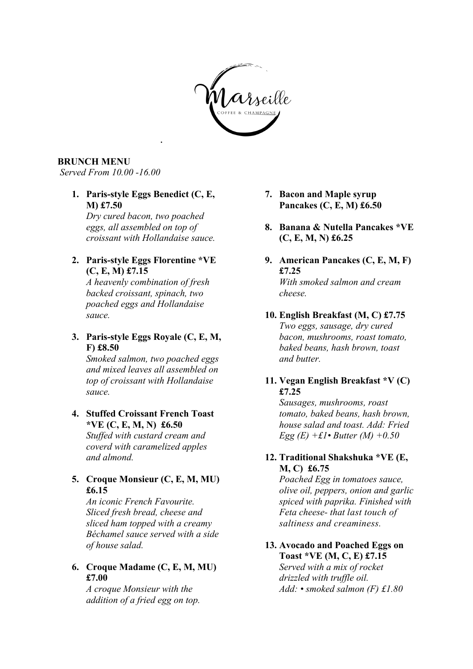

## **BRUNCH MENU**

*Served From 10.00 -16.00* 

**1. Paris-style Eggs Benedict (C, E, M) £7.50** 

*Dry cured bacon, two poached eggs, all assembled on top of croissant with Hollandaise sauce.*

*.* 

#### **2. Paris-style Eggs Florentine \*VE (C, E, M) £7.15**

*A heavenly combination of fresh backed croissant, spinach, two poached eggs and Hollandaise sauce.*

# **3. Paris-style Eggs Royale (C, E, M, F) £8.50**

*Smoked salmon, two poached eggs and mixed leaves all assembled on top of croissant with Hollandaise sauce.*

## **4. Stuffed Croissant French Toast \*VE (C, E, M, N) £6.50**

*Stuffed with custard cream and coverd with caramelized apples and almond.*

# **5. Croque Monsieur (C, E, M, MU) £6.15**

*An iconic French Favourite. Sliced fresh bread, cheese and sliced ham topped with a creamy Béchamel sauce served with a side of house salad.* 

# **6. Croque Madame (C, E, M, MU) £7.00**

*A croque Monsieur with the addition of a fried egg on top.* 

- **7. Bacon and Maple syrup Pancakes (C, E, M) £6.50**
- **8. Banana & Nutella Pancakes \*VE (C, E, M, N) £6.25**
- **9. American Pancakes (C, E, M, F) £7.25** *With smoked salmon and cream cheese.*
- **10. English Breakfast (M, C) £7.75** *Two eggs, sausage, dry cured bacon, mushrooms, roast tomato, baked beans, hash brown, toast and butter.*

## **11. Vegan English Breakfast \*V (C) £7.25**

*Sausages, mushrooms, roast tomato, baked beans, hash brown, house salad and toast. Add: Fried Egg (E) +£1• Butter (M) +0.50* 

# **12. Traditional Shakshuka \*VE (E, M, C) £6.75**

*Poached Egg in tomatoes sauce, olive oil, peppers, onion and garlic spiced with paprika. Finished with Feta cheese- that last touch of saltiness and creaminess.*

# **13. Avocado and Poached Eggs on Toast \*VE (M, C, E) £7.15**

*Served with a mix of rocket drizzled with truffle oil. Add: • smoked salmon (F) £1.80*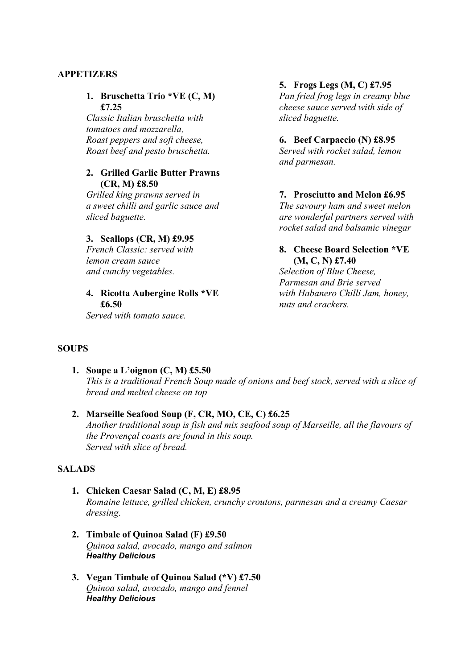## **APPETIZERS**

## **1. Bruschetta Trio \*VE (C, M) £7.25**

*Classic Italian bruschetta with tomatoes and mozzarella, Roast peppers and soft cheese, Roast beef and pesto bruschetta.*

#### **2. Grilled Garlic Butter Prawns (CR, M) £8.50**

*Grilled king prawns served in a sweet chilli and garlic sauce and sliced baguette.*

#### **3. Scallops (CR, M) £9.95**

*French Classic: served with lemon cream sauce and cunchy vegetables.*

#### **4. Ricotta Aubergine Rolls \*VE £6.50**

*Served with tomato sauce.*

## **5. Frogs Legs (M, C) £7.95**

*Pan fried frog legs in creamy blue cheese sauce served with side of sliced baguette.*

#### **6. Beef Carpaccio (N) £8.95**

*Served with rocket salad, lemon and parmesan.*

## **7. Prosciutto and Melon £6.95**

*The savoury ham and sweet melon are wonderful partners served with rocket salad and balsamic vinegar* 

## **8. Cheese Board Selection \*VE (M, C, N) £7.40**

*Selection of Blue Cheese, Parmesan and Brie served with Habanero Chilli Jam, honey, nuts and crackers.*

#### **SOUPS**

**1. Soupe a L'oignon (C, M) £5.50**  *This is a traditional French Soup made of onions and beef stock, served with a slice of bread and melted cheese on top*

# **2. Marseille Seafood Soup (F, CR, MO, CE, C) £6.25**

*Another traditional soup is fish and mix seafood soup of Marseille, all the flavours of the Provençal coasts are found in this soup. Served with slice of bread.*

## **SALADS**

- **1. Chicken Caesar Salad (C, M, E) £8.95**  *Romaine lettuce, grilled chicken, crunchy croutons, parmesan and a creamy Caesar dressing*.
- **2. Timbale of Quinoa Salad (F) £9.50** *Quinoa salad, avocado, mango and salmon Healthy Delicious*
- **3. Vegan Timbale of Quinoa Salad (\*V) £7.50** *Quinoa salad, avocado, mango and fennel Healthy Delicious*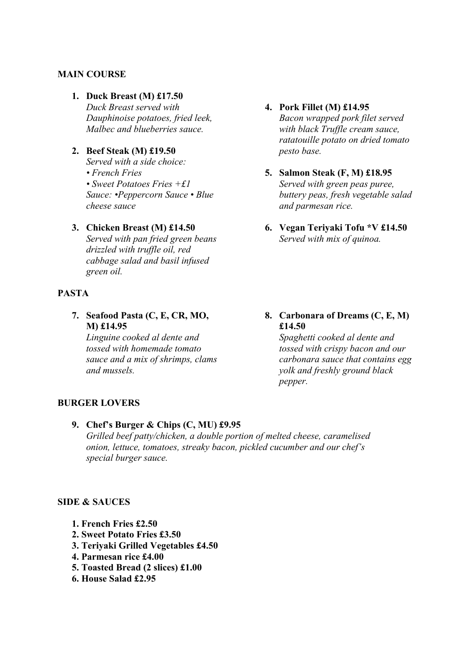## **MAIN COURSE**

# **1. Duck Breast (M) £17.50**

*Duck Breast served with Dauphinoise potatoes, fried leek, Malbec and blueberries sauce.*

**2. Beef Steak (M) £19.50** 

*Served with a side choice: • French Fries • Sweet Potatoes Fries +£1 Sauce: •Peppercorn Sauce • Blue cheese sauce*

#### **3. Chicken Breast (M) £14.50**

*Served with pan fried green beans drizzled with truffle oil, red cabbage salad and basil infused green oil.*

# **PASTA**

**7. Seafood Pasta (C, E, CR, MO, M) £14.95** 

*Linguine cooked al dente and tossed with homemade tomato sauce and a mix of shrimps, clams and mussels.*

## **4. Pork Fillet (M) £14.95** *Bacon wrapped pork filet served with black Truffle cream sauce, ratatouille potato on dried tomato pesto base.*

- **5. Salmon Steak (F, M) £18.95** *Served with green peas puree, buttery peas, fresh vegetable salad and parmesan rice.*
- **6. Vegan Teriyaki Tofu \*V £14.50** *Served with mix of quinoa.*
- **8. Carbonara of Dreams (C, E, M) £14.50**

*Spaghetti cooked al dente and tossed with crispy bacon and our carbonara sauce that contains egg yolk and freshly ground black pepper.*

#### **BURGER LOVERS**

**9. Chef's Burger & Chips (C, MU) £9.95**   *Grilled beef patty/chicken, a double portion of melted cheese, caramelised onion, lettuce, tomatoes, streaky bacon, pickled cucumber and our chef's special burger sauce.*

## **SIDE & SAUCES**

- **1. French Fries £2.50**
- **2. Sweet Potato Fries £3.50**
- **3. Teriyaki Grilled Vegetables £4.50**
- **4. Parmesan rice £4.00**
- **5. Toasted Bread (2 slices) £1.00**
- **6. House Salad £2.95**